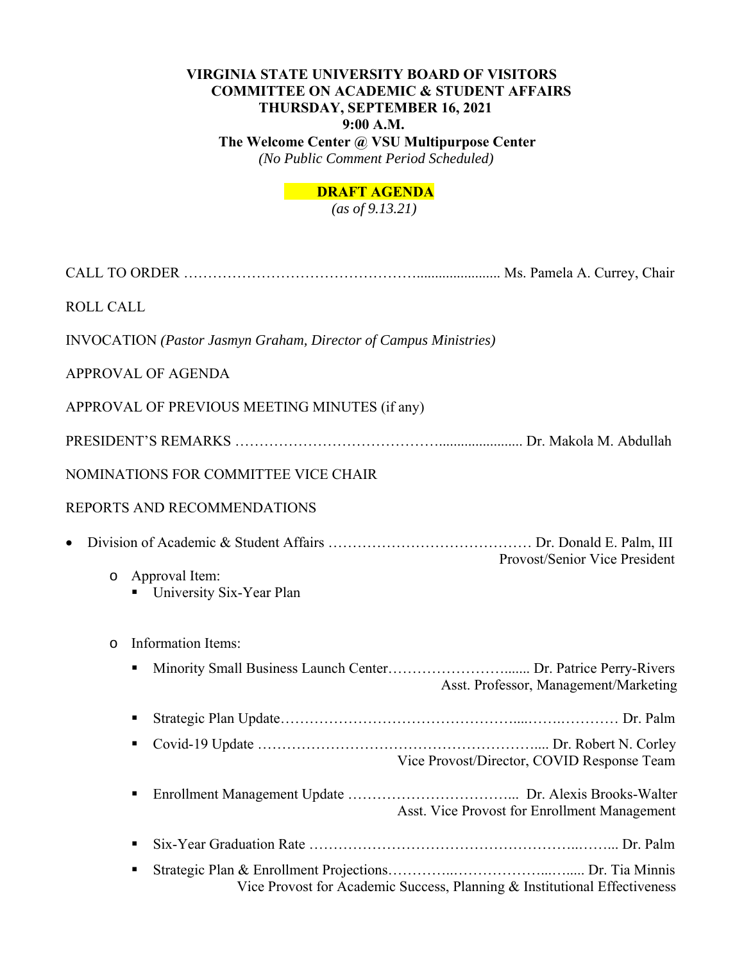# **VIRGINIA STATE UNIVERSITY BOARD OF VISITORS COMMITTEE ON ACADEMIC & STUDENT AFFAIRS THURSDAY, SEPTEMBER 16, 2021 9:00 A.M. The Welcome Center @ VSU Multipurpose Center**

 *(No Public Comment Period Scheduled)* 

# **DRAFT AGENDA**

 *(as of 9.13.21)* 

| <b>ROLL CALL</b>                                                               |
|--------------------------------------------------------------------------------|
| <b>INVOCATION</b> (Pastor Jasmyn Graham, Director of Campus Ministries)        |
| APPROVAL OF AGENDA                                                             |
| APPROVAL OF PREVIOUS MEETING MINUTES (if any)                                  |
|                                                                                |
| NOMINATIONS FOR COMMITTEE VICE CHAIR                                           |
| REPORTS AND RECOMMENDATIONS                                                    |
| Provost/Senior Vice President                                                  |
| Approval Item:<br>$\circ$<br>University Six-Year Plan                          |
| Information Items:<br>$\circ$                                                  |
| п<br>Asst. Professor, Management/Marketing                                     |
| п                                                                              |
| ٠<br>Vice Provost/Director, COVID Response Team                                |
| $\blacksquare$<br>Asst. Vice Provost for Enrollment Management                 |
| п                                                                              |
| п<br>Vice Provost for Academic Success, Planning & Institutional Effectiveness |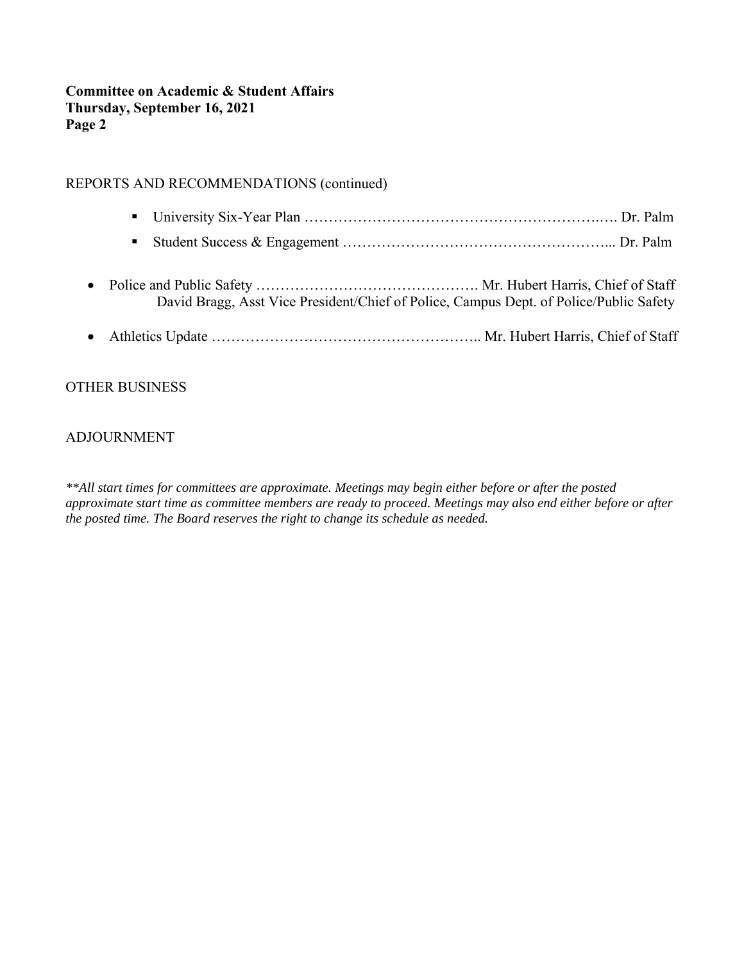## **Committee on Academic & Student Affairs Thursday, September 16, 2021 Page 2**

## REPORTS AND RECOMMENDATIONS (continued)

- University Six-Year Plan ……………………………………………………………………… Dr. Palm
- Student Success & Engagement …………………………………………………………………… Dr. Palm
- Police and Public Safety ………………………………………. Mr. Hubert Harris, Chief of Staff David Bragg, Asst Vice President/Chief of Police, Campus Dept. of Police/Public Safety
- Athletics Update ……………………………………………….. Mr. Hubert Harris, Chief of Staff

## OTHER BUSINESS

### ADJOURNMENT

*\*\*All start times for committees are approximate. Meetings may begin either before or after the posted approximate start time as committee members are ready to proceed. Meetings may also end either before or after the posted time. The Board reserves the right to change its schedule as needed.*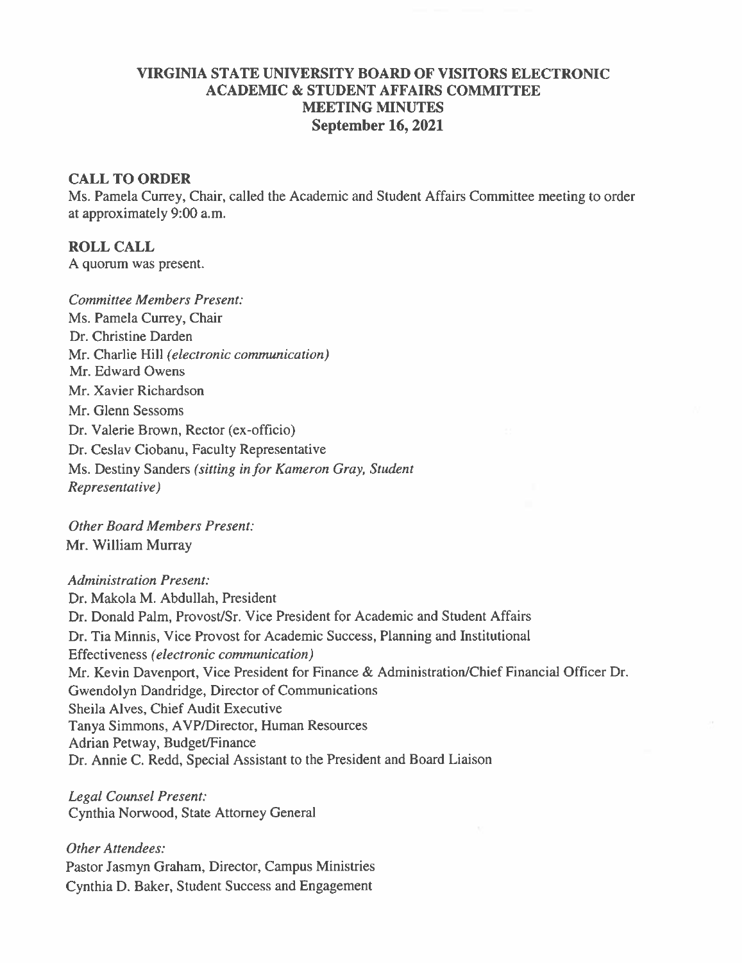## VIRGINIA STATE UNIVERSITY BOARD OF VISITORS ELECTRONIC **ACADEMIC & STUDENT AFFAIRS COMMITTEE MEETING MINUTES September 16, 2021**

### **CALL TO ORDER**

Ms. Pamela Currey, Chair, called the Academic and Student Affairs Committee meeting to order at approximately 9:00 a.m.

### **ROLL CALL**

A quorum was present.

**Committee Members Present:** Ms. Pamela Currey, Chair Dr. Christine Darden Mr. Charlie Hill (electronic communication) Mr. Edward Owens Mr. Xavier Richardson Mr. Glenn Sessoms Dr. Valerie Brown, Rector (ex-officio) Dr. Ceslav Ciobanu, Faculty Representative Ms. Destiny Sanders (sitting in for Kameron Gray, Student Representative)

**Other Board Members Present:** Mr. William Murray

**Administration Present:** Dr. Makola M. Abdullah, President Dr. Donald Palm, Provost/Sr. Vice President for Academic and Student Affairs Dr. Tia Minnis, Vice Provost for Academic Success, Planning and Institutional Effectiveness (electronic communication) Mr. Kevin Davenport, Vice President for Finance & Administration/Chief Financial Officer Dr. Gwendolyn Dandridge, Director of Communications Sheila Alves, Chief Audit Executive Tanya Simmons, AVP/Director, Human Resources Adrian Petway, Budget/Finance Dr. Annie C. Redd, Special Assistant to the President and Board Liaison

Legal Counsel Present: Cynthia Norwood, State Attorney General

**Other Attendees:** Pastor Jasmyn Graham, Director, Campus Ministries Cynthia D. Baker, Student Success and Engagement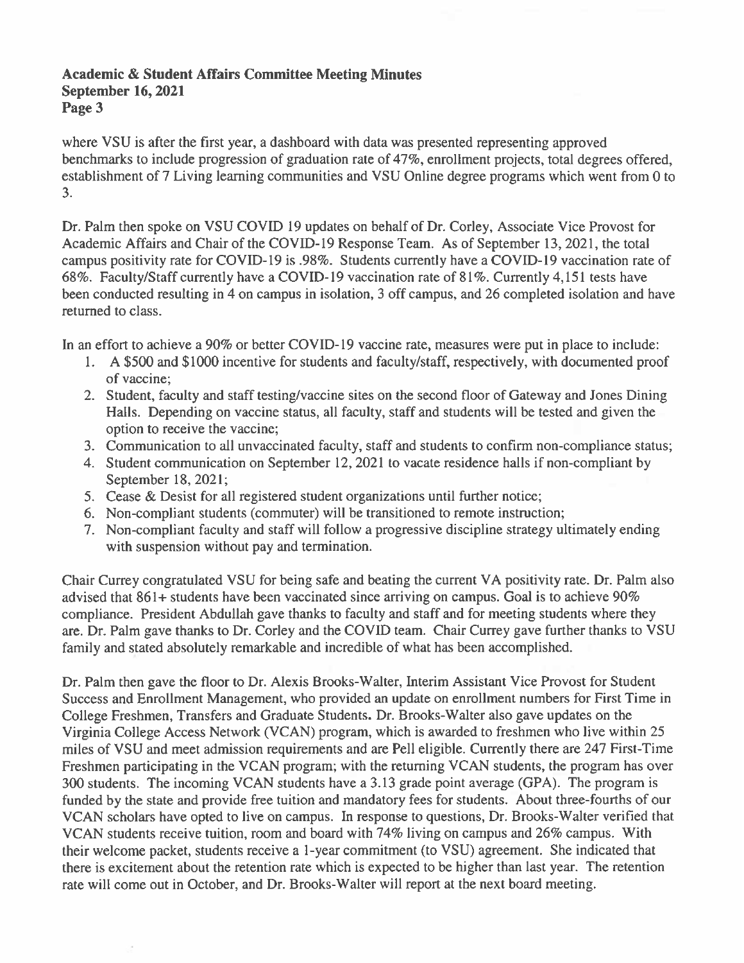### **Academic & Student Affairs Committee Meeting Minutes September 16, 2021** Page 3

where VSU is after the first year, a dashboard with data was presented representing approved benchmarks to include progression of graduation rate of 47%, enrollment projects, total degrees offered, establishment of 7 Living learning communities and VSU Online degree programs which went from 0 to 3.

Dr. Palm then spoke on VSU COVID 19 updates on behalf of Dr. Corley, Associate Vice Provost for Academic Affairs and Chair of the COVID-19 Response Team. As of September 13, 2021, the total campus positivity rate for COVID-19 is .98%. Students currently have a COVID-19 vaccination rate of 68%. Faculty/Staff currently have a COVID-19 vaccination rate of 81%. Currently 4.151 tests have been conducted resulting in 4 on campus in isolation, 3 off campus, and 26 completed isolation and have returned to class.

In an effort to achieve a 90% or better COVID-19 vaccine rate, measures were put in place to include:

- 1. A \$500 and \$1000 incentive for students and faculty/staff, respectively, with documented proof of vaccine:
- 2. Student, faculty and staff testing/vaccine sites on the second floor of Gateway and Jones Dining Halls. Depending on vaccine status, all faculty, staff and students will be tested and given the option to receive the vaccine;
- 3. Communication to all unvaccinated faculty, staff and students to confirm non-compliance status;
- 4. Student communication on September 12, 2021 to vacate residence halls if non-compliant by September 18, 2021;
- 5. Cease & Desist for all registered student organizations until further notice;
- 6. Non-compliant students (commuter) will be transitioned to remote instruction;
- 7. Non-compliant faculty and staff will follow a progressive discipline strategy ultimately ending with suspension without pay and termination.

Chair Currey congratulated VSU for being safe and beating the current VA positivity rate. Dr. Palm also advised that  $861+$  students have been vaccinated since arriving on campus. Goal is to achieve  $90\%$ compliance. President Abdullah gave thanks to faculty and staff and for meeting students where they are. Dr. Palm gave thanks to Dr. Corley and the COVID team. Chair Currey gave further thanks to VSU family and stated absolutely remarkable and incredible of what has been accomplished.

Dr. Palm then gave the floor to Dr. Alexis Brooks-Walter, Interim Assistant Vice Provost for Student Success and Enrollment Management, who provided an update on enrollment numbers for First Time in College Freshmen, Transfers and Graduate Students. Dr. Brooks-Walter also gave updates on the Virginia College Access Network (VCAN) program, which is awarded to freshmen who live within 25 miles of VSU and meet admission requirements and are Pell eligible. Currently there are 247 First-Time Freshmen participating in the VCAN program; with the returning VCAN students, the program has over 300 students. The incoming VCAN students have a 3.13 grade point average (GPA). The program is funded by the state and provide free tuition and mandatory fees for students. About three-fourths of our VCAN scholars have opted to live on campus. In response to questions, Dr. Brooks-Walter verified that VCAN students receive tuition, room and board with 74% living on campus and 26% campus. With their welcome packet, students receive a 1-year commitment (to VSU) agreement. She indicated that there is excitement about the retention rate which is expected to be higher than last year. The retention rate will come out in October, and Dr. Brooks-Walter will report at the next board meeting.